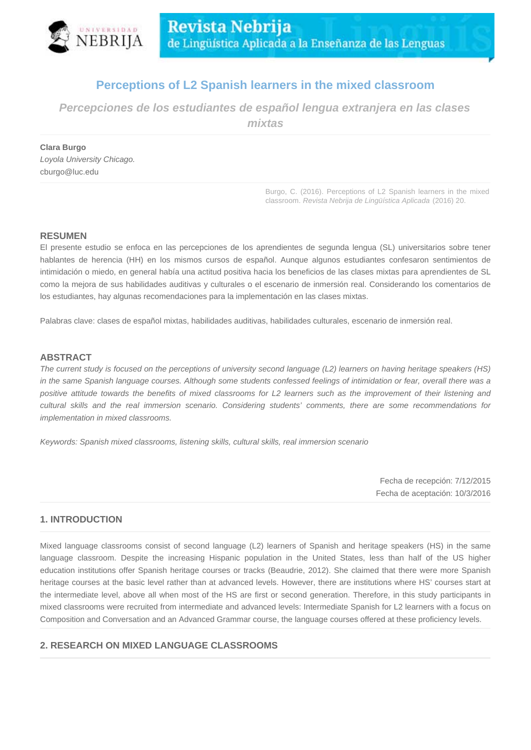

# **Perceptions of L2 Spanish learners in the mixed classroom**

**Percepciones de los estudiantes de español lengua extranjera en las clases** 

**mixtas**

**Clara Burgo** Loyola University Chicago. cburgo@luc.edu

> Burgo, C. (2016). Perceptions of L2 Spanish learners in the mixed classroom. Revista Nebrija de Lingüística Aplicada (2016) 20.

## **RESUMEN**

El presente estudio se enfoca en las percepciones de los aprendientes de segunda lengua (SL) universitarios sobre tener hablantes de herencia (HH) en los mismos cursos de español. Aunque algunos estudiantes confesaron sentimientos de intimidación o miedo, en general había una actitud positiva hacia los beneficios de las clases mixtas para aprendientes de SL como la mejora de sus habilidades auditivas y culturales o el escenario de inmersión real. Considerando los comentarios de los estudiantes, hay algunas recomendaciones para la implementación en las clases mixtas.

Palabras clave: clases de español mixtas, habilidades auditivas, habilidades culturales, escenario de inmersión real.

## **ABSTRACT**

The current study is focused on the perceptions of university second language (L2) learners on having heritage speakers (HS) in the same Spanish language courses. Although some students confessed feelings of intimidation or fear, overall there was a positive attitude towards the benefits of mixed classrooms for L2 learners such as the improvement of their listening and cultural skills and the real immersion scenario. Considering students' comments, there are some recommendations for implementation in mixed classrooms.

Keywords: Spanish mixed classrooms, listening skills, cultural skills, real immersion scenario

Fecha de recepción: 7/12/2015 Fecha de aceptación: 10/3/2016

## **1. INTRODUCTION**

Mixed language classrooms consist of second language (L2) learners of Spanish and heritage speakers (HS) in the same language classroom. Despite the increasing Hispanic population in the United States, less than half of the US higher education institutions offer Spanish heritage courses or tracks (Beaudrie, 2012). She claimed that there were more Spanish heritage courses at the basic level rather than at advanced levels. However, there are institutions where HS' courses start at the intermediate level, above all when most of the HS are first or second generation. Therefore, in this study participants in mixed classrooms were recruited from intermediate and advanced levels: Intermediate Spanish for L2 learners with a focus on Composition and Conversation and an Advanced Grammar course, the language courses offered at these proficiency levels.

## **2. RESEARCH ON MIXED LANGUAGE CLASSROOMS**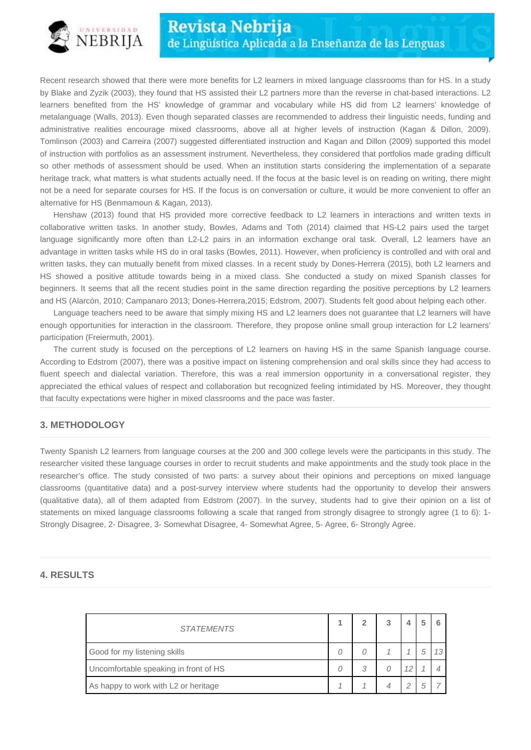

Recent research showed that there were more benefits for L2 learners in mixed language classrooms than for HS. In a study by Blake and Zyzik (2003), they found that HS assisted their L2 partners more than the reverse in chat-based interactions. L2 learners benefited from the HS' knowledge of grammar and vocabulary while HS did from L2 learners' knowledge of metalanguage (Walls, 2013). Even though separated classes are recommended to address their linguistic needs, funding and administrative realities encourage mixed classrooms, above all at higher levels of instruction (Kagan & Dillon, 2009). Tomlinson (2003) and Carreira (2007) suggested differentiated instruction and Kagan and Dillon (2009) supported this model of instruction with portfolios as an assessment instrument. Nevertheless, they considered that portfolios made grading difficult so other methods of assessment should be used. When an institution starts considering the implementation of a separate heritage track, what matters is what students actually need. If the focus at the basic level is on reading on writing, there might not be a need for separate courses for HS. If the focus is on conversation or culture, it would be more convenient to offer an alternative for HS (Benmamoun & Kagan, 2013).

Henshaw (2013) found that HS provided more corrective feedback to L2 learners in interactions and written texts in collaborative written tasks. In another study, Bowles, Adams and Toth (2014) claimed that HS-L2 pairs used the target language significantly more often than L2-L2 pairs in an information exchange oral task. Overall, L2 learners have an advantage in written tasks while HS do in oral tasks (Bowles, 2011). However, when proficiency is controlled and with oral and written tasks, they can mutually benefit from mixed classes. In a recent study by Dones-Herrera (2015), both L2 learners and HS showed a positive attitude towards being in a mixed class. She conducted a study on mixed Spanish classes for beginners. It seems that all the recent studies point in the same direction regarding the positive perceptions by L2 learners and HS (Alarcón, 2010; Campanaro 2013; Dones-Herrera,2015; Edstrom, 2007). Students felt good about helping each other.

Language teachers need to be aware that simply mixing HS and L2 learners does not guarantee that L2 learners will have enough opportunities for interaction in the classroom. Therefore, they propose online small group interaction for L2 learners' participation (Freiermuth, 2001).

The current study is focused on the perceptions of L2 learners on having HS in the same Spanish language course. According to Edstrom (2007), there was a positive impact on listening comprehension and oral skills since they had access to fluent speech and dialectal variation. Therefore, this was a real immersion opportunity in a conversational register, they appreciated the ethical values of respect and collaboration but recognized feeling intimidated by HS. Moreover, they thought that faculty expectations were higher in mixed classrooms and the pace was faster.

## **3. METHODOLOGY**

Twenty Spanish L2 learners from language courses at the 200 and 300 college levels were the participants in this study. The researcher visited these language courses in order to recruit students and make appointments and the study took place in the researcher's office. The study consisted of two parts: a survey about their opinions and perceptions on mixed language classrooms (quantitative data) and a post-survey interview where students had the opportunity to develop their answers (qualitative data), all of them adapted from Edstrom (2007). In the survey, students had to give their opinion on a list of statements on mixed language classrooms following a scale that ranged from strongly disagree to strongly agree (1 to 6): 1- Strongly Disagree, 2- Disagree, 3- Somewhat Disagree, 4- Somewhat Agree, 5- Agree, 6- Strongly Agree.

## **4. RESULTS**

| <b>STATEMENTS</b>                     |  |   |  |   |    |
|---------------------------------------|--|---|--|---|----|
| Good for my listening skills          |  |   |  | 5 | 13 |
| Uncomfortable speaking in front of HS |  | 3 |  |   |    |
| As happy to work with L2 or heritage  |  |   |  | 5 |    |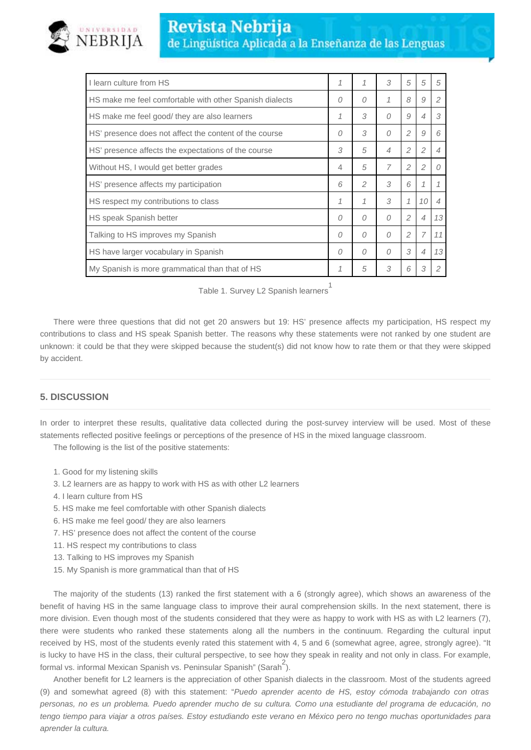

| I learn culture from HS                                 |   | 1             | 3              | 5              | 5              | 5              |
|---------------------------------------------------------|---|---------------|----------------|----------------|----------------|----------------|
| HS make me feel comfortable with other Spanish dialects | 0 | 0             | 1              | 8              | 9              | $\mathcal{P}$  |
| HS make me feel good/ they are also learners            | 1 | 3             | $\Omega$       | 9              | 4              | 3              |
| HS' presence does not affect the content of the course  | 0 | 3             | $\Omega$       | $\overline{2}$ | 9              | 6              |
| HS' presence affects the expectations of the course     |   | 5             | 4              | 2              | $\overline{c}$ | $\overline{4}$ |
| Without HS, I would get better grades                   |   | 5             | $\overline{7}$ | $\overline{c}$ | $\overline{c}$ | $\Omega$       |
| HS' presence affects my participation                   |   | $\mathcal{P}$ | 3              | 6              |                | 1              |
| HS respect my contributions to class                    |   | 1             | 3              | 1              | 10             | $\overline{4}$ |
| HS speak Spanish better                                 |   | 0             | 0              | $\overline{2}$ | $\overline{4}$ | 13             |
| Talking to HS improves my Spanish                       |   | 0             | 0              | $\overline{c}$ | 7              | 11             |
| HS have larger vocabulary in Spanish                    |   | 0             | 0              | 3              | $\overline{4}$ | 13             |
| My Spanish is more grammatical than that of HS          |   | 5             | 3              | 6              | 3              | $\overline{2}$ |

|  |  | Table 1. Survey L2 Spanish learners |
|--|--|-------------------------------------|

There were three questions that did not get 20 answers but 19: HS' presence affects my participation, HS respect my contributions to class and HS speak Spanish better. The reasons why these statements were not ranked by one student are unknown: it could be that they were skipped because the student(s) did not know how to rate them or that they were skipped by accident.

## **5. DISCUSSION**

In order to interpret these results, qualitative data collected during the post-survey interview will be used. Most of these statements reflected positive feelings or perceptions of the presence of HS in the mixed language classroom.

The following is the list of the positive statements:

- 1. Good for my listening skills
- 3. L2 learners are as happy to work with HS as with other L2 learners
- 4. I learn culture from HS
- 5. HS make me feel comfortable with other Spanish dialects
- 6. HS make me feel good/ they are also learners
- 7. HS' presence does not affect the content of the course
- 11. HS respect my contributions to class
- 13. Talking to HS improves my Spanish
- 15. My Spanish is more grammatical than that of HS

The majority of the students (13) ranked the first statement with a 6 (strongly agree), which shows an awareness of the benefit of having HS in the same language class to improve their aural comprehension skills. In the next statement, there is more division. Even though most of the students considered that they were as happy to work with HS as with L2 learners (7), there were students who ranked these statements along all the numbers in the continuum. Regarding the cultural input received by HS, most of the students evenly rated this statement with 4, 5 and 6 (somewhat agree, agree, strongly agree). "It is lucky to have HS in the class, their cultural perspective, to see how they speak in reality and not only in class. For example, formal vs. informal Mexican Spanish vs. Peninsular Spanish" (Sarah<sup>2</sup>).

Another benefit for L2 learners is the appreciation of other Spanish dialects in the classroom. Most of the students agreed (9) and somewhat agreed (8) with this statement: "Puedo aprender acento de HS, estoy cómoda trabajando con otras personas, no es un problema. Puedo aprender mucho de su cultura. Como una estudiante del programa de educación, no tengo tiempo para viajar a otros países. Estoy estudiando este verano en México pero no tengo muchas oportunidades para aprender la cultura.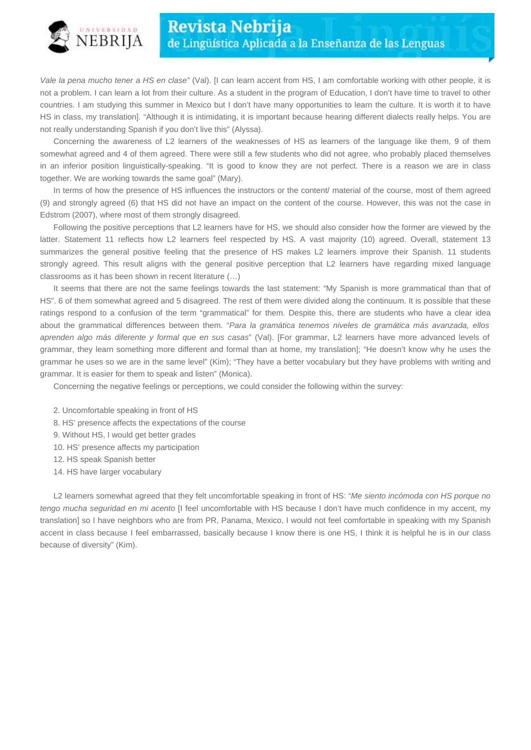

Vale la pena mucho tener a HS en clase" (Val). [I can learn accent from HS, I am comfortable working with other people, it is not a problem. I can learn a lot from their culture. As a student in the program of Education, I don't have time to travel to other countries. I am studying this summer in Mexico but I don't have many opportunities to learn the culture. It is worth it to have HS in class, my translation]. "Although it is intimidating, it is important because hearing different dialects really helps. You are not really understanding Spanish if you don't live this" (Alyssa).

Concerning the awareness of L2 learners of the weaknesses of HS as learners of the language like them, 9 of them somewhat agreed and 4 of them agreed. There were still a few students who did not agree, who probably placed themselves in an inferior position linguistically-speaking. "It is good to know they are not perfect. There is a reason we are in class together. We are working towards the same goal" (Mary).

In terms of how the presence of HS influences the instructors or the content/ material of the course, most of them agreed (9) and strongly agreed (6) that HS did not have an impact on the content of the course. However, this was not the case in Edstrom (2007), where most of them strongly disagreed.

Following the positive perceptions that L2 learners have for HS, we should also consider how the former are viewed by the latter. Statement 11 reflects how L2 learners feel respected by HS. A vast majority (10) agreed. Overall, statement 13 summarizes the general positive feeling that the presence of HS makes L2 learners improve their Spanish. 11 students strongly agreed. This result aligns with the general positive perception that L2 learners have regarding mixed language classrooms as it has been shown in recent literature (…)

It seems that there are not the same feelings towards the last statement: "My Spanish is more grammatical than that of HS". 6 of them somewhat agreed and 5 disagreed. The rest of them were divided along the continuum. It is possible that these ratings respond to a confusion of the term "grammatical" for them. Despite this, there are students who have a clear idea about the grammatical differences between them. "Para la gramática tenemos niveles de gramática más avanzada, ellos aprenden algo más diferente y formal que en sus casas" (Val). [For grammar, L2 learners have more advanced levels of grammar, they learn something more different and formal than at home, my translation]; "He doesn't know why he uses the grammar he uses so we are in the same level" (Kim); "They have a better vocabulary but they have problems with writing and grammar. It is easier for them to speak and listen" (Monica).

Concerning the negative feelings or perceptions, we could consider the following within the survey:

- 2. Uncomfortable speaking in front of HS
- 8. HS' presence affects the expectations of the course
- 9. Without HS, I would get better grades
- 10. HS' presence affects my participation
- 12. HS speak Spanish better
- 14. HS have larger vocabulary

L2 learners somewhat agreed that they felt uncomfortable speaking in front of HS: "Me siento incómoda con HS porque no tengo mucha seguridad en mi acento [I feel uncomfortable with HS because I don't have much confidence in my accent, my translation] so I have neighbors who are from PR, Panama, Mexico, I would not feel comfortable in speaking with my Spanish accent in class because I feel embarrassed, basically because I know there is one HS, I think it is helpful he is in our class because of diversity" (Kim).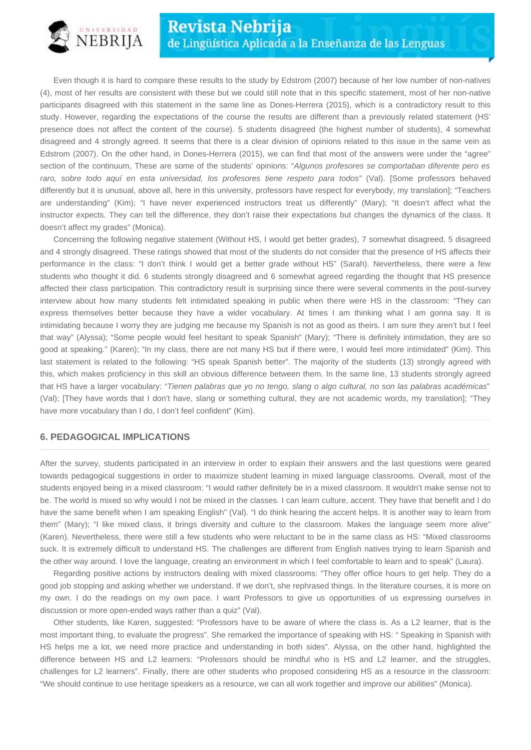

Even though it is hard to compare these results to the study by Edstrom (2007) because of her low number of non-natives (4), most of her results are consistent with these but we could still note that in this specific statement, most of her non-native participants disagreed with this statement in the same line as Dones-Herrera (2015), which is a contradictory result to this study. However, regarding the expectations of the course the results are different than a previously related statement (HS' presence does not affect the content of the course). 5 students disagreed (the highest number of students), 4 somewhat disagreed and 4 strongly agreed. It seems that there is a clear division of opinions related to this issue in the same vein as Edstrom (2007). On the other hand, in Dones-Herrera (2015), we can find that most of the answers were under the "agree" section of the continuum, These are some of the students' opinions: "Algunos profesores se comportaban diferente pero es raro, sobre todo aquí en esta universidad, los profesores tiene respeto para todos" (Val). [Some professors behaved differently but it is unusual, above all, here in this university, professors have respect for everybody, my translation]; "Teachers are understanding" (Kim); "I have never experienced instructors treat us differently" (Mary); "It doesn't affect what the instructor expects. They can tell the difference, they don't raise their expectations but changes the dynamics of the class. It doesn't affect my grades" (Monica).

Concerning the following negative statement (Without HS, I would get better grades), 7 somewhat disagreed, 5 disagreed and 4 strongly disagreed. These ratings showed that most of the students do not consider that the presence of HS affects their performance in the class: "I don't think I would get a better grade without HS" (Sarah). Nevertheless, there were a few students who thought it did. 6 students strongly disagreed and 6 somewhat agreed regarding the thought that HS presence affected their class participation. This contradictory result is surprising since there were several comments in the post-survey interview about how many students felt intimidated speaking in public when there were HS in the classroom: "They can express themselves better because they have a wider vocabulary. At times I am thinking what I am gonna say. It is intimidating because I worry they are judging me because my Spanish is not as good as theirs. I am sure they aren't but I feel that way" (Alyssa); "Some people would feel hesitant to speak Spanish" (Mary); "There is definitely intimidation, they are so good at speaking." (Karen); "In my class, there are not many HS but if there were, I would feel more intimidated" (Kim). This last statement is related to the following: "HS speak Spanish better". The majority of the students (13) strongly agreed with this, which makes proficiency in this skill an obvious difference between them. In the same line, 13 students strongly agreed that HS have a larger vocabulary: "Tienen palabras que yo no tengo, slang o algo cultural, no son las palabras académicas" (Val); [They have words that I don't have, slang or something cultural, they are not academic words, my translation]; "They have more vocabulary than I do, I don't feel confident" (Kim).

## **6. PEDAGOGICAL IMPLICATIONS**

After the survey, students participated in an interview in order to explain their answers and the last questions were geared towards pedagogical suggestions in order to maximize student learning in mixed language classrooms. Overall, most of the students enjoyed being in a mixed classroom: "I would rather definitely be in a mixed classroom. It wouldn't make sense not to be. The world is mixed so why would I not be mixed in the classes. I can learn culture, accent. They have that benefit and I do have the same benefit when I am speaking English" (Val). "I do think hearing the accent helps. It is another way to learn from them" (Mary); "I like mixed class, it brings diversity and culture to the classroom. Makes the language seem more alive" (Karen). Nevertheless, there were still a few students who were reluctant to be in the same class as HS: "Mixed classrooms suck. It is extremely difficult to understand HS. The challenges are different from English natives trying to learn Spanish and the other way around. I love the language, creating an environment in which I feel comfortable to learn and to speak" (Laura).

Regarding positive actions by instructors dealing with mixed classrooms: "They offer office hours to get help. They do a good job stopping and asking whether we understand. If we don't, she rephrased things. In the literature courses, it is more on my own. I do the readings on my own pace. I want Professors to give us opportunities of us expressing ourselves in discussion or more open-ended ways rather than a quiz" (Val).

Other students, like Karen, suggested: "Professors have to be aware of where the class is. As a L2 learner, that is the most important thing, to evaluate the progress". She remarked the importance of speaking with HS: " Speaking in Spanish with HS helps me a lot, we need more practice and understanding in both sides". Alyssa, on the other hand, highlighted the difference between HS and L2 learners: "Professors should be mindful who is HS and L2 learner, and the struggles, challenges for L2 learners". Finally, there are other students who proposed considering HS as a resource in the classroom: "We should continue to use heritage speakers as a resource, we can all work together and improve our abilities" (Monica).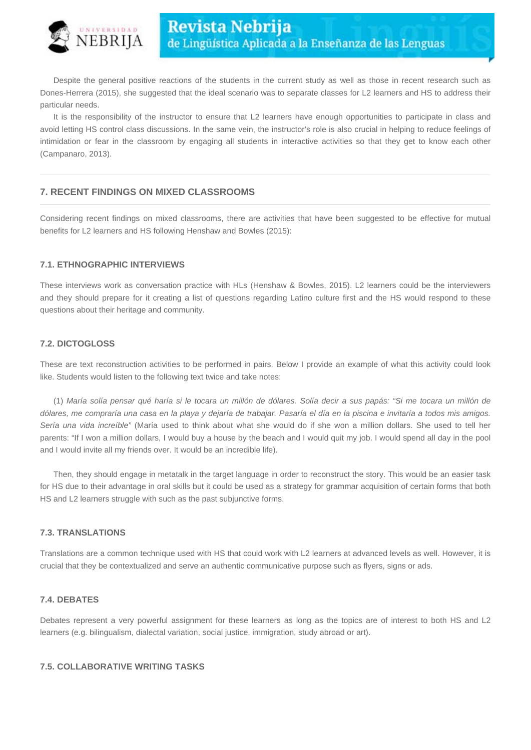

Despite the general positive reactions of the students in the current study as well as those in recent research such as Dones-Herrera (2015), she suggested that the ideal scenario was to separate classes for L2 learners and HS to address their particular needs.

It is the responsibility of the instructor to ensure that L2 learners have enough opportunities to participate in class and avoid letting HS control class discussions. In the same vein, the instructor's role is also crucial in helping to reduce feelings of intimidation or fear in the classroom by engaging all students in interactive activities so that they get to know each other (Campanaro, 2013).

## **7. RECENT FINDINGS ON MIXED CLASSROOMS**

Considering recent findings on mixed classrooms, there are activities that have been suggested to be effective for mutual benefits for L2 learners and HS following Henshaw and Bowles (2015):

## **7.1. ETHNOGRAPHIC INTERVIEWS**

These interviews work as conversation practice with HLs (Henshaw & Bowles, 2015). L2 learners could be the interviewers and they should prepare for it creating a list of questions regarding Latino culture first and the HS would respond to these questions about their heritage and community.

#### **7.2. DICTOGLOSS**

These are text reconstruction activities to be performed in pairs. Below I provide an example of what this activity could look like. Students would listen to the following text twice and take notes:

(1) María solía pensar qué haría si le tocara un millón de dólares. Solía decir a sus papás: "Si me tocara un millón de dólares, me compraría una casa en la playa y dejaría de trabajar. Pasaría el día en la piscina e invitaría a todos mis amigos. Sería una vida increíble" (María used to think about what she would do if she won a million dollars. She used to tell her parents: "If I won a million dollars, I would buy a house by the beach and I would quit my job. I would spend all day in the pool and I would invite all my friends over. It would be an incredible life).

Then, they should engage in metatalk in the target language in order to reconstruct the story. This would be an easier task for HS due to their advantage in oral skills but it could be used as a strategy for grammar acquisition of certain forms that both HS and L2 learners struggle with such as the past subjunctive forms.

## **7.3. TRANSLATIONS**

Translations are a common technique used with HS that could work with L2 learners at advanced levels as well. However, it is crucial that they be contextualized and serve an authentic communicative purpose such as flyers, signs or ads.

## **7.4. DEBATES**

Debates represent a very powerful assignment for these learners as long as the topics are of interest to both HS and L2 learners (e.g. bilingualism, dialectal variation, social justice, immigration, study abroad or art).

## **7.5. COLLABORATIVE WRITING TASKS**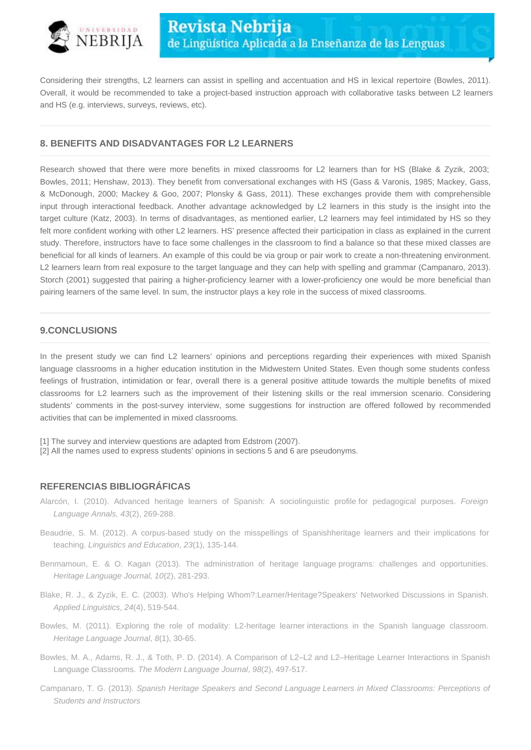

Considering their strengths, L2 learners can assist in spelling and accentuation and HS in lexical repertoire (Bowles, 2011). Overall, it would be recommended to take a project-based instruction approach with collaborative tasks between L2 learners and HS (e.g. interviews, surveys, reviews, etc).

## **8. BENEFITS AND DISADVANTAGES FOR L2 LEARNERS**

Research showed that there were more benefits in mixed classrooms for L2 learners than for HS (Blake & Zyzik, 2003; Bowles, 2011; Henshaw, 2013). They benefit from conversational exchanges with HS (Gass & Varonis, 1985; Mackey, Gass, & McDonough, 2000; Mackey & Goo, 2007; Plonsky & Gass, 2011). These exchanges provide them with comprehensible input through interactional feedback. Another advantage acknowledged by L2 learners in this study is the insight into the target culture (Katz, 2003). In terms of disadvantages, as mentioned earlier, L2 learners may feel intimidated by HS so they felt more confident working with other L2 learners. HS' presence affected their participation in class as explained in the current study. Therefore, instructors have to face some challenges in the classroom to find a balance so that these mixed classes are beneficial for all kinds of learners. An example of this could be via group or pair work to create a non-threatening environment. L2 learners learn from real exposure to the target language and they can help with spelling and grammar (Campanaro, 2013). Storch (2001) suggested that pairing a higher-proficiency learner with a lower-proficiency one would be more beneficial than pairing learners of the same level. In sum, the instructor plays a key role in the success of mixed classrooms.

## **9.CONCLUSIONS**

In the present study we can find L2 learners' opinions and perceptions regarding their experiences with mixed Spanish language classrooms in a higher education institution in the Midwestern United States. Even though some students confess feelings of frustration, intimidation or fear, overall there is a general positive attitude towards the multiple benefits of mixed classrooms for L2 learners such as the improvement of their listening skills or the real immersion scenario. Considering students' comments in the post-survey interview, some suggestions for instruction are offered followed by recommended activities that can be implemented in mixed classrooms.

- [1] The survey and interview questions are adapted from Edstrom (2007).
- [2] All the names used to express students' opinions in sections 5 and 6 are pseudonyms.

## **REFERENCIAS BIBLIOGRÁFICAS**

- Alarcón, I. (2010). Advanced heritage learners of Spanish: A sociolinguistic profile for pedagogical purposes. Foreign Language Annals, 43(2), 269-288.
- Beaudrie, S. M. (2012). A corpus-based study on the misspellings of Spanishheritage learners and their implications for teaching. Linguistics and Education, 23(1), 135-144.
- Benmamoun, E. & O. Kagan (2013). The administration of heritage language programs: challenges and opportunities. Heritage Language Journal, 10(2), 281-293.
- Blake, R. J., & Zyzik, E. C. (2003). Who's Helping Whom?:Learner/Heritage?Speakers' Networked Discussions in Spanish. Applied Linguistics, 24(4), 519-544.
- Bowles, M. (2011). Exploring the role of modality: L2-heritage learner interactions in the Spanish language classroom. Heritage Language Journal, 8(1), 30-65.
- Bowles, M. A., Adams, R. J., & Toth, P. D. (2014). A Comparison of L2–L2 and L2–Heritage Learner Interactions in Spanish Language Classrooms. The Modern Language Journal, 98(2), 497-517.
- Campanaro, T. G. (2013). Spanish Heritage Speakers and Second Language Learners in Mixed Classrooms: Perceptions of Students and Instructors